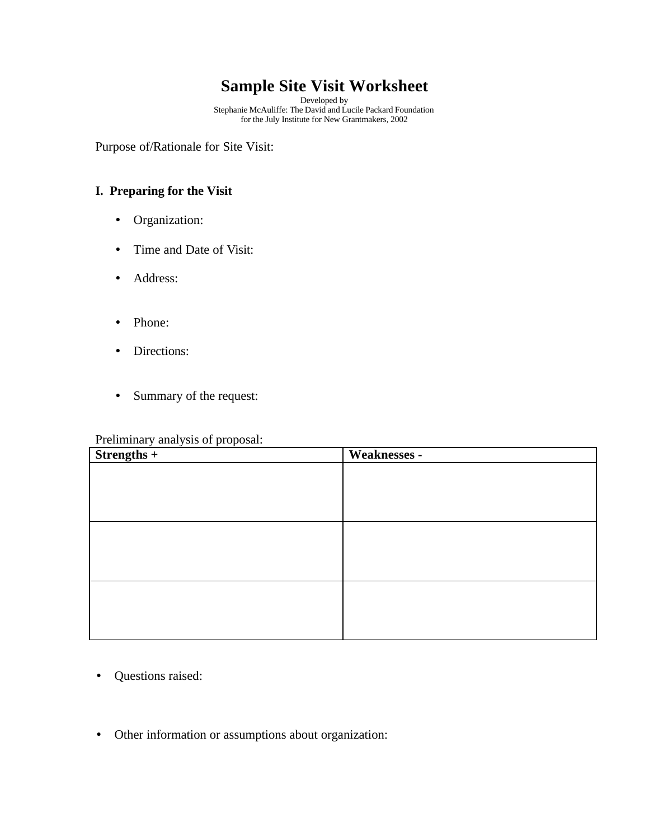# **Sample Site Visit Worksheet**

Developed by Stephanie McAuliffe: The David and Lucile Packard Foundation for the July Institute for New Grantmakers, 2002

Purpose of/Rationale for Site Visit:

### **I. Preparing for the Visit**

- Organization:
- Time and Date of Visit:
- Address:
- Phone:
- Directions:
- Summary of the request:

### Preliminary analysis of proposal:

| $S$ trengths +<br>$\overline{\phantom{a}}$<br>$\overline{\phantom{a}}$<br>$\overline{\phantom{a}}$ | Weaknesses - |
|----------------------------------------------------------------------------------------------------|--------------|
|                                                                                                    |              |
|                                                                                                    |              |
|                                                                                                    |              |
|                                                                                                    |              |
|                                                                                                    |              |
|                                                                                                    |              |
|                                                                                                    |              |
|                                                                                                    |              |
|                                                                                                    |              |
|                                                                                                    |              |
|                                                                                                    |              |

- Questions raised:
- Other information or assumptions about organization: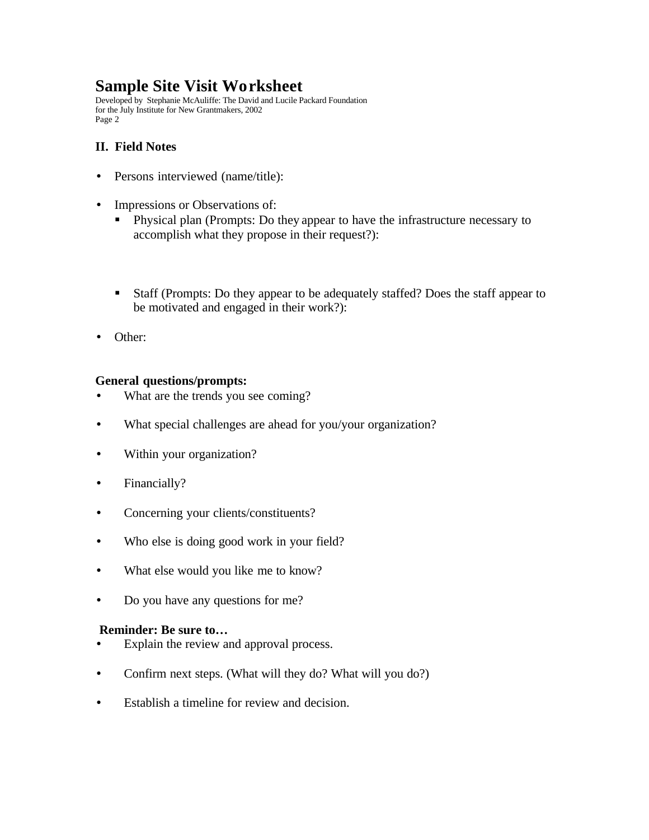## **Sample Site Visit Worksheet**

Developed by Stephanie McAuliffe: The David and Lucile Packard Foundation for the July Institute for New Grantmakers, 2002 Page 2

### **II. Field Notes**

- Persons interviewed (name/title):
- Impressions or Observations of:
	- Physical plan (Prompts: Do they appear to have the infrastructure necessary to accomplish what they propose in their request?):
	- Staff (Prompts: Do they appear to be adequately staffed? Does the staff appear to be motivated and engaged in their work?):
- Other:

#### **General questions/prompts:**

- What are the trends you see coming?
- What special challenges are ahead for you/your organization?
- Within your organization?
- Financially?
- Concerning your clients/constituents?
- Who else is doing good work in your field?
- What else would you like me to know?
- Do you have any questions for me?

#### **Reminder: Be sure to…**

- Explain the review and approval process.
- Confirm next steps. (What will they do? What will you do?)
- Establish a timeline for review and decision.